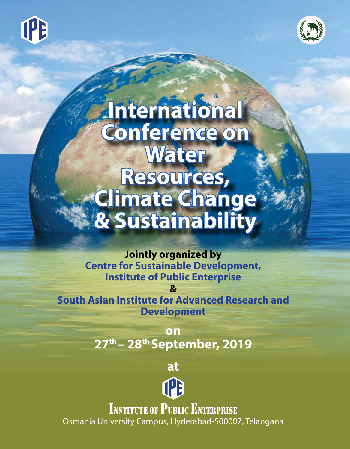



# **International Conference on Water Resources, Climate Change & Sustainability**

**Jointly organized by Centre for Sustainable Development, Institute of Public Enterprise**

**South Asian Institute for Advanced Research and Development**

**&**

**on 27th – 28th September, 2019**

**at**



**INSTITUTE OF PUBLIC ENTERPRISE** Osmania University Campus, Hyderabad-500007, Telangana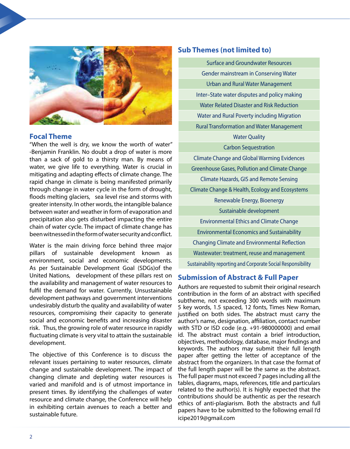

#### **Focal Theme**

"When the well is dry, we know the worth of water" -Benjamin Franklin. No doubt a drop of water is more than a sack of gold to a thirsty man. By means of water, we give life to everything. Water is crucial in mitigating and adapting effects of climate change. The rapid change in climate is being manifested primarily through change in water cycle in the form of drought, floods melting glaciers, sea level rise and storms with greater intensity. In other words, the intangible balance between water and weather in form of evaporation and precipitation also gets disturbed impacting the entire chain of water cycle. The impact of climate change has been witnessed in the form of water security and conflict.

Water is the main driving force behind three major pillars of sustainable development known as environment, social and economic developments. As per Sustainable Development Goal (SDGs)of the United Nations, development of these pillars rest on the availability and management of water resources to fulfil the demand for water. Currently, Unsustainable development pathways and government interventions undesirably disturb the quality and availability of water resources, compromising their capacity to generate social and economic benefits and increasing disaster risk. Thus, the growing role of water resource in rapidly fluctuating climate is very vital to attain the sustainable development.

The objective of this Conference is to discuss the relevant issues pertaining to water resources, climate change and sustainable development. The impact of changing climate and depleting water resources is varied and manifold and is of utmost importance in present times. By identifying the challenges of water resource and climate change, the Conference will help in exhibiting certain avenues to reach a better and sustainable future.

#### **Sub Themes (not limited to)**

Surface and Groundwater Resources Gender mainstream in Conserving Water Urban and Rural Water Management Inter–State water disputes and policy making Water Related Disaster and Risk Reduction Water and Rural Poverty including Migration Rural Transformation and Water Management Water Quality

#### Carbon Sequestration

Climate Change and Global Warming Evidences Greenhouse Gases, Pollution and Climate Change Climate Hazards, GIS and Remote Sensing

Climate Change & Health, Ecology and Ecosystems

Renewable Energy, Bioenergy

Sustainable development

Environmental Ethics and Climate Change

Environmental Economics and Sustainability

Changing Climate and Environmental Reflection

Wastewater: treatment, reuse and management

Sustainability reporting and Corporate Social Responsibility

#### **Submission of Abstract & Full Paper**

Authors are requested to submit their original research contribution in the form of an abstract with specified subtheme, not exceeding 300 words with maximum 5 key words, 1.5 spaced, 12 fonts, Times New Roman, justified on both sides. The abstract must carry the author's name, designation, affiliation, contact number with STD or ISD code (e.g. +91-980000000) and email id. The abstract must contain a brief introduction, objectives, methodology, database, major findings and keywords. The authors may submit their full length paper after getting the letter of acceptance of the abstract from the organizers. In that case the format of the full length paper will be the same as the abstract. The full paper must not exceed 7 pages including all the tables, diagrams, maps, references, title and particulars related to the author(s). It is highly expected that the contributions should be authentic as per the research ethics of anti-plagiarism. Both the abstracts and full papers have to be submitted to the following email I'd icipe2019@gmail.com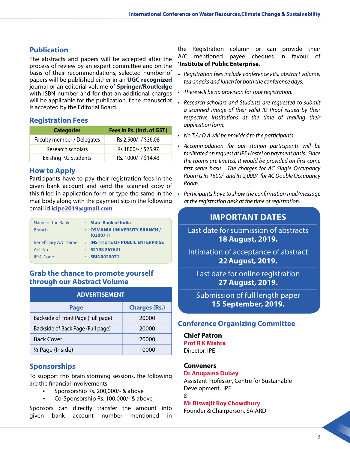### **Publication**

The abstracts and papers will be accepted after the process of review by an expert committee and on the basis of their recommendations, selected number of papers will be published either in an **UGC recognized** journal or an editorial volume of **Springer/Routledge** with ISBN number and for that an additional charges will be applicable for the publication if the manuscript is accepted by the Editorial Board.

#### **Registration Fees**

| <b>Categories</b>            | Fees in Rs. (Incl. of GST) |
|------------------------------|----------------------------|
| Faculty member / Delegates   | Rs 2,500/- / \$36.08       |
| Research scholars            | Rs 1800/- / \$25.97        |
| <b>Existing P.G Students</b> | Rs. 1000/- / \$14.43       |

#### **How to Apply**

Participants have to pay their registration fees in the given bank account and send the scanned copy of this filled in application form or type the same in the mail body along with the payment slip in the following email id **icipe2019@gmail.com**

| Name of the Bank            |   | <b>State Bank of India</b>                     |
|-----------------------------|---|------------------------------------------------|
| <b>Branch</b>               |   | <b>OSMANIA UNIVERSITY BRANCH /</b><br>(020071) |
| <b>Beneficiary A/C Name</b> | ÷ | <b>INSTITUTE OF PUBLIC ENTERPRISE</b>          |
| $A/C$ No                    |   | 52198 267621                                   |
| <b>IFSC Code</b>            |   | <b>SBIN0020071</b>                             |

#### **Grab the chance to promote yourself through our Abstract Volume**

| <b>ADVERTISEMENT</b>               |                      |  |  |
|------------------------------------|----------------------|--|--|
| Page                               | <b>Charges (Rs.)</b> |  |  |
| Backside of Front Page (Full page) | 20000                |  |  |
| Backside of Back Page (Full page)  | 20000                |  |  |
| <b>Back Cover</b>                  | 20000                |  |  |
| 1/2 Page (Inside)                  | 10000                |  |  |

## **Sponsorships**

To support this brain storming sessions, the following are the financial involvements:

- Sponsorship Rs. 200,000/- & above<br>• Co-Sponsorship Rs. 100,000/- & abo
- Co-Sponsorship Rs. 100,000/- & above

Sponsors can directly transfer the amount into given bank account number mentioned in

the Registration column or can provide their A/C mentioned payee cheques in favour of **'Institute of Public Enterprise,**

- **•**  Registration fees include conference kits, abstract volume, tea-snacks and lunch for both the conference days.
- There will be no provision for spot registration.
- Research scholars and Students are requested to submit a scanned image of their valid ID Proof issued by their respective institutions at the time of mailing their application form.
- $\cdot$  No T.A/D.A will be provided to the participants.
- Accommodation for out station participants will be facilitated on request at IPE Hostel on payment basis. Since the rooms are limited, it would be provided on first come first serve basis. The charges for AC Single Occupancy Room is Rs 1500/- and Rs 2,000/- for AC Double Occupancy Room.
- Participants have to show the confirmation mail/message at the registration desk at the time of registration.

# **IMPORTANT DATES**

Last date for submission of abstracts **18 August, 2019.**

Intimation of acceptance of abstract **22August, 2019.**

Last date for online registration **27 August, 2019.**

Submission of full length paper **15 September, 2019.**

# **Conference Organizing Committee**

**Chief Patron Prof R K Mishra** Director, IPE

#### **Conveners**

#### **Dr Anupama Dubey**

Assistant Professor, Centre for Sustainable Development, IPE

&

#### **Mr Biswajit Roy Chowdhury**

Founder & Chairperson, SAIARD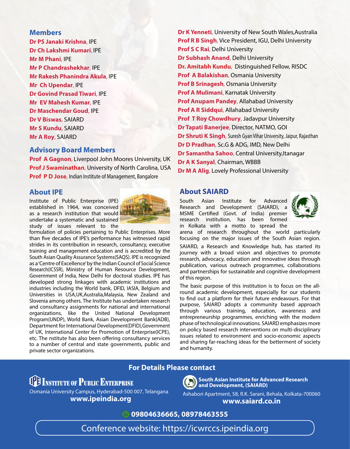#### **Members**

**Dr PS Janaki Krishna**, IPE **Dr Ch Lakshmi Kumari**, IPE **Mr M Phani**, IPE **Mr P Chandrashekhar**, IPE **Mr Rakesh Phanindra Akula**, IPE **Mr Ch Upendar**, IPE **Dr Govind Prasad Tiwari**, IPE **Mr EV Mahesh Kumar**, IPE **Dr Maschendar Goud**, IPE **Dr V Biswas**, SAIARD **Mr S Kundu**, SAIARD **Mr A Roy**, SAIARD

#### **Advisory Board Members**

**Prof A Gagnon**, Liverpool John Moores University, UK **Prof J Swaminathan**, University of North Carolina, USA **Prof P D Jose**, Indian Institute of Management, Bangalore

#### **About IPE**

Institute of Public Enterprise (IPE) established in 1964, was conceived as a research institution that would undertake a systematic and sustained study of issues relevant to the



formulation of policies pertaining to Public Enterprises. More than five decades of IPE's performance has witnessed rapid strides in its contribution in research, consultancy, executive training and management education and is accredited by the South Asian Quality Assurance Systems(SAQS). IPE is recognized as a 'Centre of Excellence' by the Indian Council of Social Science Research(ICSSR), Ministry of Human Resource Development, Government of India, New Delhi for doctoral studies. IPE has developed strong linkages with academic institutions and industries including the World bank, DFID, IASIA, Belgium and Universities in USA,UK,Australia,Malaysia, New Zealand and Slovenia among others. The Institute has undertaken research and consultancy assignments for national and international organizations, like the United National Development Program(UNDP), World Bank, Asian Development Bank(ADB), Department for International Development(DFID),Government of UK, International Center for Promotion of Enterprise(ICPE), etc. The nstitute has also been offering consultancy services to a number of central and state governments, public and private sector organizations.

**Dr K Yenneti**, University of New South Wales,Australia **Prof R B Singh**, Vice President, IGU, Delhi University **Prof S C Rai**, Delhi University **Dr Subhash Anand**, Delhi University **Dr. Amitabh Kundu**, Distinguished Fellow, RISDC **Prof A Balakishan**, Osmania University **Prof B Srinagesh**, Osmania University **Prof A Mulimani**, Karnatak University **Prof Anupam Pandey**, Allahabad University **Prof A R Siddqui**, Allahabad University **Prof T Roy Chowdhury, Jadavpur University Dr Tapati Banerjee**, Director, NATMO, GOI **Dr Shruti K Singh**, Suresh Gyan Vihar University, Jaipur, Rajasthan **Dr D Pradhan**, Sc.G & ADG, IMD, New Delhi **Dr Samantha Sahoo, Central University, Itanagar Dr A K Sanyal**, Chairman, WBBB **Dr M A Alig**, Lovely Professional University

#### **About SAIARD**

South Asian Institute for Advanced Research and Development (SAIARD), a MSME Certified (Govt. of India) premier research institution, has been formed in Kolkata with a motto to spread the



arena of research throughout the world particularly focusing on the major issues of the South Asian region.

SAIARD, a Research and Knowledge hub, has started its journey with a broad vision and objectives to promote research, advocacy, education and innovative ideas through publication, various outreach programmes, collaborations and partnerships for sustainable and cognitive development of this region.

The basic purpose of this institution is to focus on the allround academic development, especially for our students to find out a platform for their future endeavours. For that purpose, SAIARD adopts a community based approach through various training, education, awareness and entrepreneurship programmes, enriching with the modern phase of technological innovations. SAIARD emphasizes more on policy based research interventions on multi-disciplinary issues related to environment and socio-economic aspects and sharing far-reaching ideas for the betterment of society and humanity.

#### **For Details Please contact**

# **TE INSTITUTE OF PUBLIC ENTERPRISE**

Osmania University Campus, Hyderabad-500 007, Telangana **www.ipeindia.org**



**South Asian Institute for Advanced Research and Development, (SAIARD)**

Ashabori Apartment, 58, R.K. Sarani, Behala, Kolkata-700060 **www.saiard.co.in**

#### **09804636665, 08978463555**

Conference website: https://icwrccs.ipeindia.org